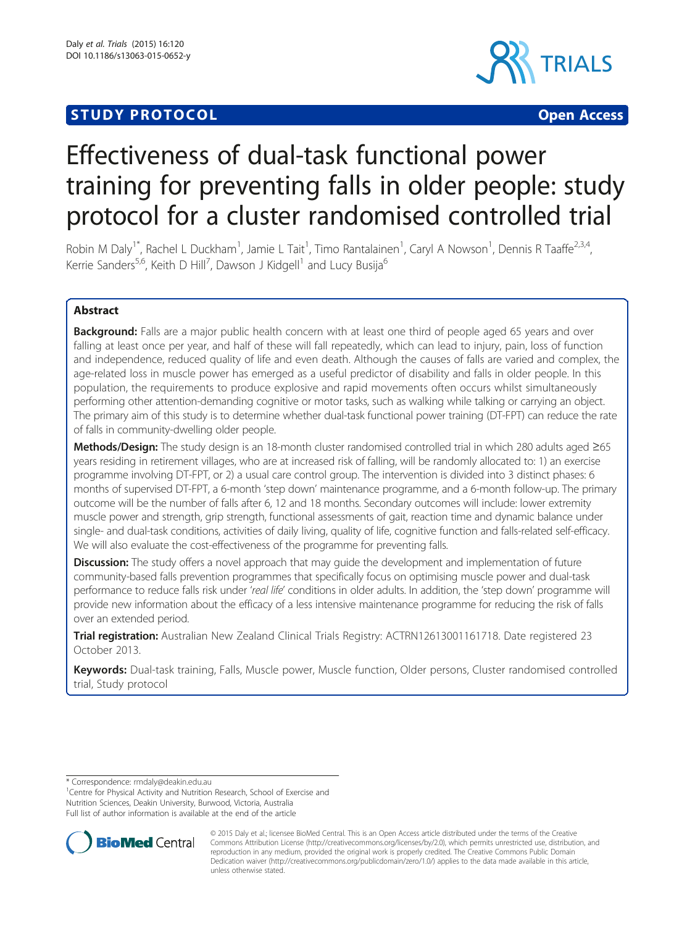# **STUDY PROTOCOL** CONTROL CONTROL CONTROL CONTROL CONTROL CONTROL CONTROL CONTROL CONTROL CONTROL CONTROL CONTROL CONTROL CONTROL CONTROL CONTROL CONTROL CONTROL CONTROL CONTROL CONTROL CONTROL CONTROL CONTROL CONTROL CONTR



# Effectiveness of dual-task functional power training for preventing falls in older people: study protocol for a cluster randomised controlled trial

Robin M Daly<sup>1\*</sup>, Rachel L Duckham<sup>1</sup>, Jamie L Tait<sup>1</sup>, Timo Rantalainen<sup>1</sup>, Caryl A Nowson<sup>1</sup>, Dennis R Taaffe<sup>2,3,4</sup>, Kerrie Sanders<sup>5,6</sup>, Keith D Hill<sup>7</sup>, Dawson J Kidgell<sup>1</sup> and Lucy Busija<sup>6</sup>

# Abstract

**Background:** Falls are a major public health concern with at least one third of people aged 65 years and over falling at least once per year, and half of these will fall repeatedly, which can lead to injury, pain, loss of function and independence, reduced quality of life and even death. Although the causes of falls are varied and complex, the age-related loss in muscle power has emerged as a useful predictor of disability and falls in older people. In this population, the requirements to produce explosive and rapid movements often occurs whilst simultaneously performing other attention-demanding cognitive or motor tasks, such as walking while talking or carrying an object. The primary aim of this study is to determine whether dual-task functional power training (DT-FPT) can reduce the rate of falls in community-dwelling older people.

Methods/Design: The study design is an 18-month cluster randomised controlled trial in which 280 adults aged ≥65 years residing in retirement villages, who are at increased risk of falling, will be randomly allocated to: 1) an exercise programme involving DT-FPT, or 2) a usual care control group. The intervention is divided into 3 distinct phases: 6 months of supervised DT-FPT, a 6-month 'step down' maintenance programme, and a 6-month follow-up. The primary outcome will be the number of falls after 6, 12 and 18 months. Secondary outcomes will include: lower extremity muscle power and strength, grip strength, functional assessments of gait, reaction time and dynamic balance under single- and dual-task conditions, activities of daily living, quality of life, cognitive function and falls-related self-efficacy. We will also evaluate the cost-effectiveness of the programme for preventing falls.

**Discussion:** The study offers a novel approach that may guide the development and implementation of future community-based falls prevention programmes that specifically focus on optimising muscle power and dual-task performance to reduce falls risk under 'real life' conditions in older adults. In addition, the 'step down' programme will provide new information about the efficacy of a less intensive maintenance programme for reducing the risk of falls over an extended period.

Trial registration: Australian New Zealand Clinical Trials Registry: [ACTRN12613001161718](https://www.anzctr.org.au/Trial/Registration/TrialReview.aspx?id=364361). Date registered 23 October 2013.

Keywords: Dual-task training, Falls, Muscle power, Muscle function, Older persons, Cluster randomised controlled trial, Study protocol

\* Correspondence: [rmdaly@deakin.edu.au](mailto:rmdaly@deakin.edu.au) <sup>1</sup>

<sup>1</sup> Centre for Physical Activity and Nutrition Research, School of Exercise and Nutrition Sciences, Deakin University, Burwood, Victoria, Australia Full list of author information is available at the end of the article



© 2015 Daly et al.; licensee BioMed Central. This is an Open Access article distributed under the terms of the Creative Commons Attribution License [\(http://creativecommons.org/licenses/by/2.0\)](http://creativecommons.org/licenses/by/2.0), which permits unrestricted use, distribution, and reproduction in any medium, provided the original work is properly credited. The Creative Commons Public Domain Dedication waiver [\(http://creativecommons.org/publicdomain/zero/1.0/](http://creativecommons.org/publicdomain/zero/1.0/)) applies to the data made available in this article, unless otherwise stated.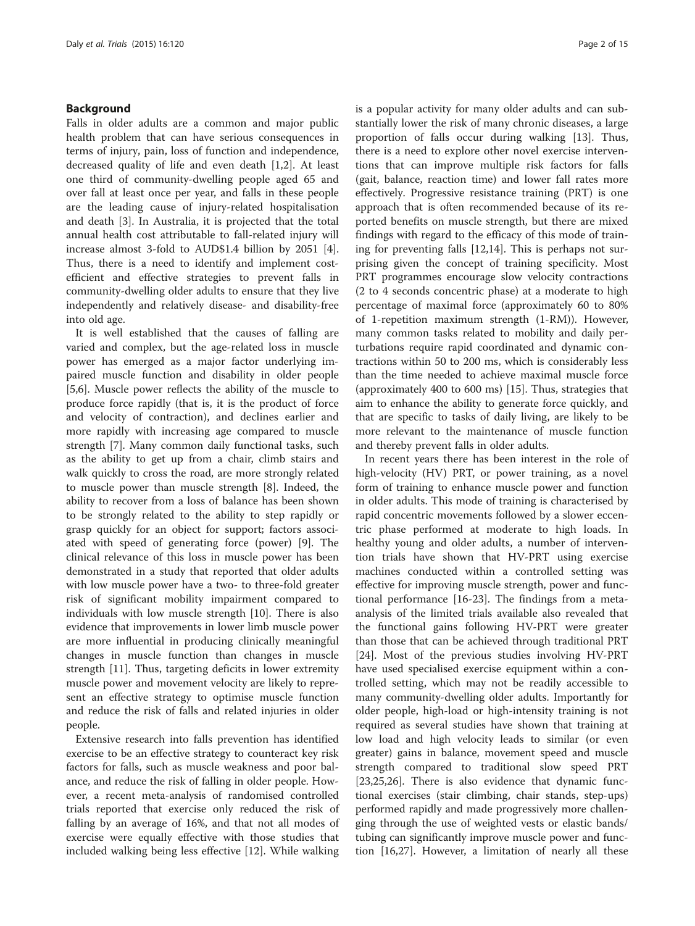#### Background

Falls in older adults are a common and major public health problem that can have serious consequences in terms of injury, pain, loss of function and independence, decreased quality of life and even death [[1,2\]](#page-13-0). At least one third of community-dwelling people aged 65 and over fall at least once per year, and falls in these people are the leading cause of injury-related hospitalisation and death [[3\]](#page-13-0). In Australia, it is projected that the total annual health cost attributable to fall-related injury will increase almost 3-fold to AUD\$1.4 billion by 2051 [\[4](#page-13-0)]. Thus, there is a need to identify and implement costefficient and effective strategies to prevent falls in community-dwelling older adults to ensure that they live independently and relatively disease- and disability-free into old age.

It is well established that the causes of falling are varied and complex, but the age-related loss in muscle power has emerged as a major factor underlying impaired muscle function and disability in older people [[5,6\]](#page-13-0). Muscle power reflects the ability of the muscle to produce force rapidly (that is, it is the product of force and velocity of contraction), and declines earlier and more rapidly with increasing age compared to muscle strength [\[7](#page-13-0)]. Many common daily functional tasks, such as the ability to get up from a chair, climb stairs and walk quickly to cross the road, are more strongly related to muscle power than muscle strength [[8\]](#page-13-0). Indeed, the ability to recover from a loss of balance has been shown to be strongly related to the ability to step rapidly or grasp quickly for an object for support; factors associated with speed of generating force (power) [[9\]](#page-13-0). The clinical relevance of this loss in muscle power has been demonstrated in a study that reported that older adults with low muscle power have a two- to three-fold greater risk of significant mobility impairment compared to individuals with low muscle strength [[10](#page-13-0)]. There is also evidence that improvements in lower limb muscle power are more influential in producing clinically meaningful changes in muscle function than changes in muscle strength [[11\]](#page-13-0). Thus, targeting deficits in lower extremity muscle power and movement velocity are likely to represent an effective strategy to optimise muscle function and reduce the risk of falls and related injuries in older people.

Extensive research into falls prevention has identified exercise to be an effective strategy to counteract key risk factors for falls, such as muscle weakness and poor balance, and reduce the risk of falling in older people. However, a recent meta-analysis of randomised controlled trials reported that exercise only reduced the risk of falling by an average of 16%, and that not all modes of exercise were equally effective with those studies that included walking being less effective [[12\]](#page-13-0). While walking is a popular activity for many older adults and can substantially lower the risk of many chronic diseases, a large proportion of falls occur during walking [\[13\]](#page-13-0). Thus, there is a need to explore other novel exercise interventions that can improve multiple risk factors for falls (gait, balance, reaction time) and lower fall rates more effectively. Progressive resistance training (PRT) is one approach that is often recommended because of its reported benefits on muscle strength, but there are mixed findings with regard to the efficacy of this mode of training for preventing falls [[12,14\]](#page-13-0). This is perhaps not surprising given the concept of training specificity. Most PRT programmes encourage slow velocity contractions (2 to 4 seconds concentric phase) at a moderate to high percentage of maximal force (approximately 60 to 80% of 1-repetition maximum strength (1-RM)). However, many common tasks related to mobility and daily perturbations require rapid coordinated and dynamic contractions within 50 to 200 ms, which is considerably less than the time needed to achieve maximal muscle force (approximately 400 to 600 ms) [\[15\]](#page-13-0). Thus, strategies that aim to enhance the ability to generate force quickly, and that are specific to tasks of daily living, are likely to be more relevant to the maintenance of muscle function and thereby prevent falls in older adults.

In recent years there has been interest in the role of high-velocity (HV) PRT, or power training, as a novel form of training to enhance muscle power and function in older adults. This mode of training is characterised by rapid concentric movements followed by a slower eccentric phase performed at moderate to high loads. In healthy young and older adults, a number of intervention trials have shown that HV-PRT using exercise machines conducted within a controlled setting was effective for improving muscle strength, power and functional performance [[16](#page-13-0)-[23\]](#page-13-0). The findings from a metaanalysis of the limited trials available also revealed that the functional gains following HV-PRT were greater than those that can be achieved through traditional PRT [[24\]](#page-13-0). Most of the previous studies involving HV-PRT have used specialised exercise equipment within a controlled setting, which may not be readily accessible to many community-dwelling older adults. Importantly for older people, high-load or high-intensity training is not required as several studies have shown that training at low load and high velocity leads to similar (or even greater) gains in balance, movement speed and muscle strength compared to traditional slow speed PRT [[23,25,26\]](#page-13-0). There is also evidence that dynamic functional exercises (stair climbing, chair stands, step-ups) performed rapidly and made progressively more challenging through the use of weighted vests or elastic bands/ tubing can significantly improve muscle power and function [\[16,27](#page-13-0)]. However, a limitation of nearly all these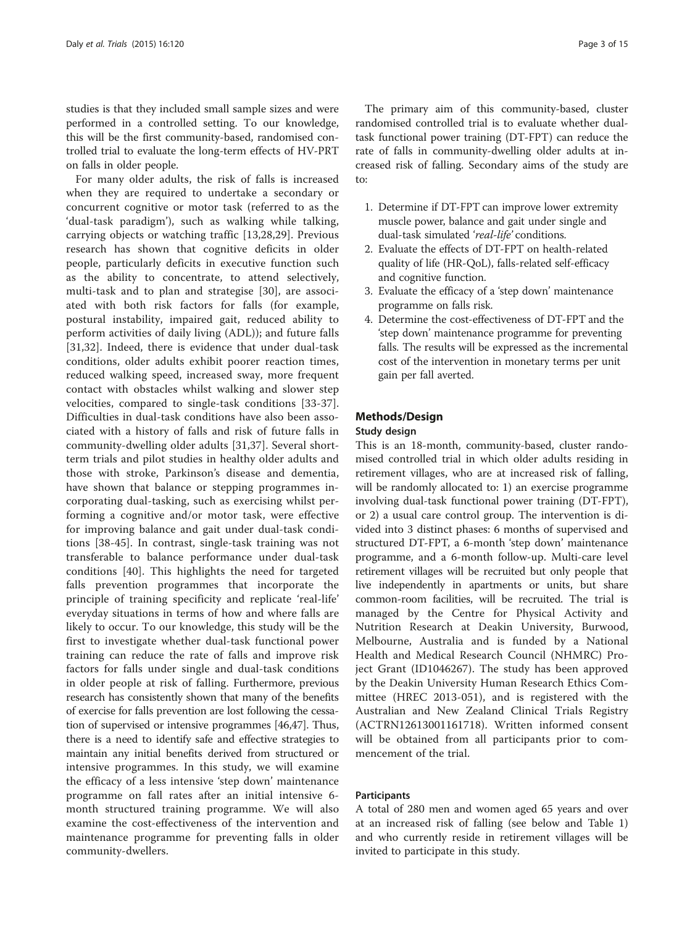studies is that they included small sample sizes and were performed in a controlled setting. To our knowledge, this will be the first community-based, randomised controlled trial to evaluate the long-term effects of HV-PRT on falls in older people.

For many older adults, the risk of falls is increased when they are required to undertake a secondary or concurrent cognitive or motor task (referred to as the 'dual-task paradigm'), such as walking while talking, carrying objects or watching traffic [\[13](#page-13-0),[28,29](#page-13-0)]. Previous research has shown that cognitive deficits in older people, particularly deficits in executive function such as the ability to concentrate, to attend selectively, multi-task and to plan and strategise [\[30](#page-13-0)], are associated with both risk factors for falls (for example, postural instability, impaired gait, reduced ability to perform activities of daily living (ADL)); and future falls [[31,32](#page-13-0)]. Indeed, there is evidence that under dual-task conditions, older adults exhibit poorer reaction times, reduced walking speed, increased sway, more frequent contact with obstacles whilst walking and slower step velocities, compared to single-task conditions [\[33-37](#page-13-0)]. Difficulties in dual-task conditions have also been associated with a history of falls and risk of future falls in community-dwelling older adults [\[31,37](#page-13-0)]. Several shortterm trials and pilot studies in healthy older adults and those with stroke, Parkinson's disease and dementia, have shown that balance or stepping programmes incorporating dual-tasking, such as exercising whilst performing a cognitive and/or motor task, were effective for improving balance and gait under dual-task conditions [[38-45](#page-13-0)]. In contrast, single-task training was not transferable to balance performance under dual-task conditions [\[40](#page-13-0)]. This highlights the need for targeted falls prevention programmes that incorporate the principle of training specificity and replicate 'real-life' everyday situations in terms of how and where falls are likely to occur. To our knowledge, this study will be the first to investigate whether dual-task functional power training can reduce the rate of falls and improve risk factors for falls under single and dual-task conditions in older people at risk of falling. Furthermore, previous research has consistently shown that many of the benefits of exercise for falls prevention are lost following the cessation of supervised or intensive programmes [\[46,47\]](#page-13-0). Thus, there is a need to identify safe and effective strategies to maintain any initial benefits derived from structured or intensive programmes. In this study, we will examine the efficacy of a less intensive 'step down' maintenance programme on fall rates after an initial intensive 6 month structured training programme. We will also examine the cost-effectiveness of the intervention and maintenance programme for preventing falls in older community-dwellers.

The primary aim of this community-based, cluster randomised controlled trial is to evaluate whether dualtask functional power training (DT-FPT) can reduce the rate of falls in community-dwelling older adults at increased risk of falling. Secondary aims of the study are to:

- 1. Determine if DT-FPT can improve lower extremity muscle power, balance and gait under single and dual-task simulated 'real-life' conditions.
- 2. Evaluate the effects of DT-FPT on health-related quality of life (HR-QoL), falls-related self-efficacy and cognitive function.
- 3. Evaluate the efficacy of a 'step down' maintenance programme on falls risk.
- 4. Determine the cost-effectiveness of DT-FPT and the 'step down' maintenance programme for preventing falls. The results will be expressed as the incremental cost of the intervention in monetary terms per unit gain per fall averted.

#### Methods/Design

#### Study design

This is an 18-month, community-based, cluster randomised controlled trial in which older adults residing in retirement villages, who are at increased risk of falling, will be randomly allocated to: 1) an exercise programme involving dual-task functional power training (DT-FPT), or 2) a usual care control group. The intervention is divided into 3 distinct phases: 6 months of supervised and structured DT-FPT, a 6-month 'step down' maintenance programme, and a 6-month follow-up. Multi-care level retirement villages will be recruited but only people that live independently in apartments or units, but share common-room facilities, will be recruited. The trial is managed by the Centre for Physical Activity and Nutrition Research at Deakin University, Burwood, Melbourne, Australia and is funded by a National Health and Medical Research Council (NHMRC) Project Grant (ID1046267). The study has been approved by the Deakin University Human Research Ethics Committee (HREC 2013-051), and is registered with the Australian and New Zealand Clinical Trials Registry ([ACTRN12613001161718](http://www.anzctr.org.au/ACTRN12613001161718)). Written informed consent will be obtained from all participants prior to commencement of the trial.

#### Participants

A total of 280 men and women aged 65 years and over at an increased risk of falling (see below and Table [1](#page-3-0)) and who currently reside in retirement villages will be invited to participate in this study.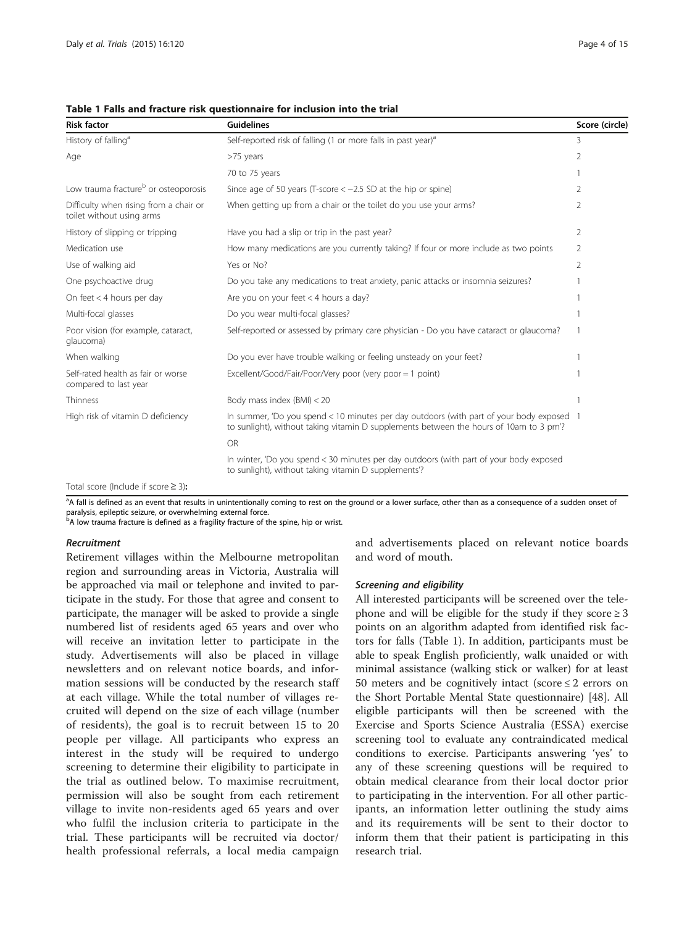| <b>Risk factor</b>                                                  | <b>Guidelines</b>                                                                                                                                                                 | Score (circle) |
|---------------------------------------------------------------------|-----------------------------------------------------------------------------------------------------------------------------------------------------------------------------------|----------------|
| History of falling <sup>a</sup>                                     | Self-reported risk of falling (1 or more falls in past year) <sup>a</sup>                                                                                                         | 3              |
| Age                                                                 | >75 years                                                                                                                                                                         |                |
|                                                                     | 70 to 75 years                                                                                                                                                                    |                |
| Low trauma fracture <sup>b</sup> or osteoporosis                    | Since age of 50 years (T-score $<-2.5$ SD at the hip or spine)                                                                                                                    | 2              |
| Difficulty when rising from a chair or<br>toilet without using arms | When getting up from a chair or the toilet do you use your arms?                                                                                                                  | 2              |
| History of slipping or tripping                                     | Have you had a slip or trip in the past year?                                                                                                                                     | 2              |
| Medication use                                                      | How many medications are you currently taking? If four or more include as two points                                                                                              | 2              |
| Use of walking aid                                                  | Yes or No?                                                                                                                                                                        | 2              |
| One psychoactive drug                                               | Do you take any medications to treat anxiety, panic attacks or insomnia seizures?                                                                                                 |                |
| On feet < 4 hours per day                                           | Are you on your feet $<$ 4 hours a day?                                                                                                                                           |                |
| Multi-focal glasses                                                 | Do you wear multi-focal glasses?                                                                                                                                                  |                |
| Poor vision (for example, cataract,<br>glaucoma)                    | Self-reported or assessed by primary care physician - Do you have cataract or glaucoma?                                                                                           |                |
| When walking                                                        | Do you ever have trouble walking or feeling unsteady on your feet?                                                                                                                |                |
| Self-rated health as fair or worse<br>compared to last year         | Excellent/Good/Fair/Poor/Very poor (very poor = 1 point)                                                                                                                          |                |
| Thinness                                                            | Body mass index (BMI) < 20                                                                                                                                                        |                |
| High risk of vitamin D deficiency                                   | In summer, 'Do you spend < 10 minutes per day outdoors (with part of your body exposed 1<br>to sunlight), without taking vitamin D supplements between the hours of 10am to 3 pm? |                |
|                                                                     | OR                                                                                                                                                                                |                |
|                                                                     | In winter, 'Do you spend < 30 minutes per day outdoors (with part of your body exposed<br>to sunlight), without taking vitamin D supplements'?                                    |                |
|                                                                     |                                                                                                                                                                                   |                |

<span id="page-3-0"></span>Table 1 Falls and fracture risk questionnaire for inclusion into the trial

Total score (Include if score ≥ 3):

<sup>a</sup>A fall is defined as an event that results in unintentionally coming to rest on the ground or a lower surface, other than as a consequence of a sudden onset of paralysis, epileptic seizure, or overwhelming external force.<br><sup>b</sup>A low trauma fracture is defined as a fragility fracture of the spine, hip or wrist.

#### Recruitment

Retirement villages within the Melbourne metropolitan region and surrounding areas in Victoria, Australia will be approached via mail or telephone and invited to participate in the study. For those that agree and consent to participate, the manager will be asked to provide a single numbered list of residents aged 65 years and over who will receive an invitation letter to participate in the study. Advertisements will also be placed in village newsletters and on relevant notice boards, and information sessions will be conducted by the research staff at each village. While the total number of villages recruited will depend on the size of each village (number of residents), the goal is to recruit between 15 to 20 people per village. All participants who express an interest in the study will be required to undergo screening to determine their eligibility to participate in the trial as outlined below. To maximise recruitment, permission will also be sought from each retirement village to invite non-residents aged 65 years and over who fulfil the inclusion criteria to participate in the trial. These participants will be recruited via doctor/ health professional referrals, a local media campaign and advertisements placed on relevant notice boards and word of mouth.

#### Screening and eligibility

All interested participants will be screened over the telephone and will be eligible for the study if they score  $\geq 3$ points on an algorithm adapted from identified risk factors for falls (Table 1). In addition, participants must be able to speak English proficiently, walk unaided or with minimal assistance (walking stick or walker) for at least 50 meters and be cognitively intact (score  $\leq 2$  errors on the Short Portable Mental State questionnaire) [[48](#page-14-0)]. All eligible participants will then be screened with the Exercise and Sports Science Australia (ESSA) exercise screening tool to evaluate any contraindicated medical conditions to exercise. Participants answering 'yes' to any of these screening questions will be required to obtain medical clearance from their local doctor prior to participating in the intervention. For all other participants, an information letter outlining the study aims and its requirements will be sent to their doctor to inform them that their patient is participating in this research trial.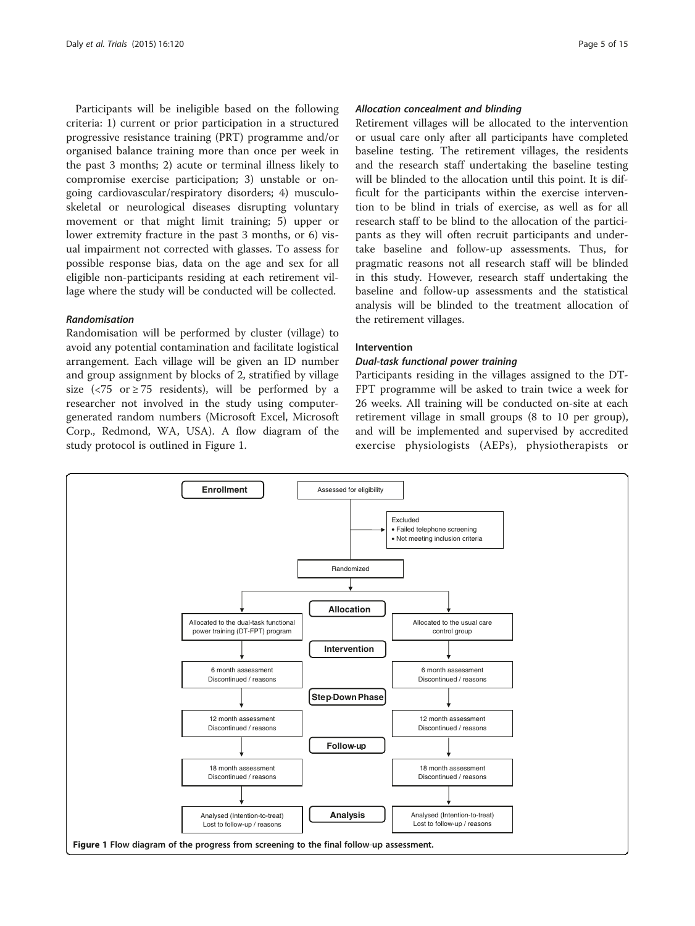Participants will be ineligible based on the following criteria: 1) current or prior participation in a structured progressive resistance training (PRT) programme and/or organised balance training more than once per week in the past 3 months; 2) acute or terminal illness likely to compromise exercise participation; 3) unstable or ongoing cardiovascular/respiratory disorders; 4) musculoskeletal or neurological diseases disrupting voluntary movement or that might limit training; 5) upper or lower extremity fracture in the past 3 months, or 6) visual impairment not corrected with glasses. To assess for possible response bias, data on the age and sex for all eligible non-participants residing at each retirement village where the study will be conducted will be collected.

#### Randomisation

Randomisation will be performed by cluster (village) to avoid any potential contamination and facilitate logistical arrangement. Each village will be given an ID number and group assignment by blocks of 2, stratified by village size ( $\langle 75 \text{ or } 275 \text{ residents} \rangle$ , will be performed by a researcher not involved in the study using computergenerated random numbers (Microsoft Excel, Microsoft Corp., Redmond, WA, USA). A flow diagram of the study protocol is outlined in Figure 1.

#### Allocation concealment and blinding

Retirement villages will be allocated to the intervention or usual care only after all participants have completed baseline testing. The retirement villages, the residents and the research staff undertaking the baseline testing will be blinded to the allocation until this point. It is difficult for the participants within the exercise intervention to be blind in trials of exercise, as well as for all research staff to be blind to the allocation of the participants as they will often recruit participants and undertake baseline and follow-up assessments. Thus, for pragmatic reasons not all research staff will be blinded in this study. However, research staff undertaking the baseline and follow-up assessments and the statistical analysis will be blinded to the treatment allocation of the retirement villages.

#### Intervention

#### Dual-task functional power training

Participants residing in the villages assigned to the DT-FPT programme will be asked to train twice a week for 26 weeks. All training will be conducted on-site at each retirement village in small groups (8 to 10 per group), and will be implemented and supervised by accredited exercise physiologists (AEPs), physiotherapists or

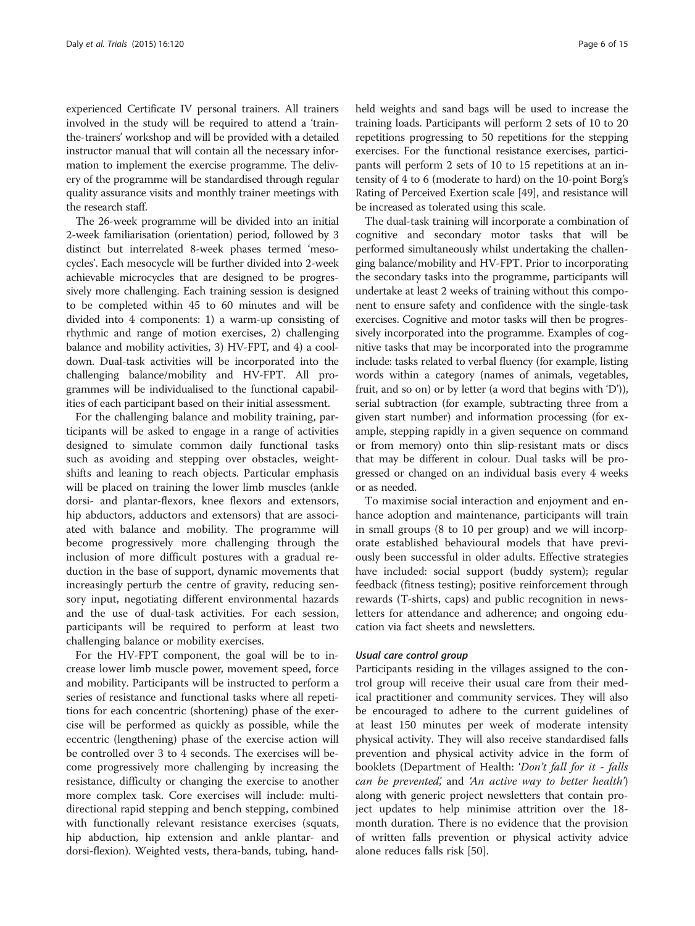experienced Certificate IV personal trainers. All trainers involved in the study will be required to attend a 'trainthe-trainers' workshop and will be provided with a detailed instructor manual that will contain all the necessary information to implement the exercise programme. The delivery of the programme will be standardised through regular quality assurance visits and monthly trainer meetings with the research staff.

The 26-week programme will be divided into an initial 2-week familiarisation (orientation) period, followed by 3 distinct but interrelated 8-week phases termed 'mesocycles'. Each mesocycle will be further divided into 2-week achievable microcycles that are designed to be progressively more challenging. Each training session is designed to be completed within 45 to 60 minutes and will be divided into 4 components: 1) a warm-up consisting of rhythmic and range of motion exercises, 2) challenging balance and mobility activities, 3) HV-FPT, and 4) a cooldown. Dual-task activities will be incorporated into the challenging balance/mobility and HV-FPT. All programmes will be individualised to the functional capabilities of each participant based on their initial assessment.

For the challenging balance and mobility training, participants will be asked to engage in a range of activities designed to simulate common daily functional tasks such as avoiding and stepping over obstacles, weightshifts and leaning to reach objects. Particular emphasis will be placed on training the lower limb muscles (ankle dorsi- and plantar-flexors, knee flexors and extensors, hip abductors, adductors and extensors) that are associated with balance and mobility. The programme will become progressively more challenging through the inclusion of more difficult postures with a gradual reduction in the base of support, dynamic movements that increasingly perturb the centre of gravity, reducing sensory input, negotiating different environmental hazards and the use of dual-task activities. For each session, participants will be required to perform at least two challenging balance or mobility exercises.

For the HV-FPT component, the goal will be to increase lower limb muscle power, movement speed, force and mobility. Participants will be instructed to perform a series of resistance and functional tasks where all repetitions for each concentric (shortening) phase of the exercise will be performed as quickly as possible, while the eccentric (lengthening) phase of the exercise action will be controlled over 3 to 4 seconds. The exercises will become progressively more challenging by increasing the resistance, difficulty or changing the exercise to another more complex task. Core exercises will include: multidirectional rapid stepping and bench stepping, combined with functionally relevant resistance exercises (squats, hip abduction, hip extension and ankle plantar- and dorsi-flexion). Weighted vests, thera-bands, tubing, handheld weights and sand bags will be used to increase the training loads. Participants will perform 2 sets of 10 to 20 repetitions progressing to 50 repetitions for the stepping exercises. For the functional resistance exercises, participants will perform 2 sets of 10 to 15 repetitions at an intensity of 4 to 6 (moderate to hard) on the 10-point Borg's Rating of Perceived Exertion scale [\[49\]](#page-14-0), and resistance will be increased as tolerated using this scale.

The dual-task training will incorporate a combination of cognitive and secondary motor tasks that will be performed simultaneously whilst undertaking the challenging balance/mobility and HV-FPT. Prior to incorporating the secondary tasks into the programme, participants will undertake at least 2 weeks of training without this component to ensure safety and confidence with the single-task exercises. Cognitive and motor tasks will then be progressively incorporated into the programme. Examples of cognitive tasks that may be incorporated into the programme include: tasks related to verbal fluency (for example, listing words within a category (names of animals, vegetables, fruit, and so on) or by letter (a word that begins with 'D')), serial subtraction (for example, subtracting three from a given start number) and information processing (for example, stepping rapidly in a given sequence on command or from memory) onto thin slip-resistant mats or discs that may be different in colour. Dual tasks will be progressed or changed on an individual basis every 4 weeks or as needed.

To maximise social interaction and enjoyment and enhance adoption and maintenance, participants will train in small groups (8 to 10 per group) and we will incorporate established behavioural models that have previously been successful in older adults. Effective strategies have included: social support (buddy system); regular feedback (fitness testing); positive reinforcement through rewards (T-shirts, caps) and public recognition in newsletters for attendance and adherence; and ongoing education via fact sheets and newsletters.

#### Usual care control group

Participants residing in the villages assigned to the control group will receive their usual care from their medical practitioner and community services. They will also be encouraged to adhere to the current guidelines of at least 150 minutes per week of moderate intensity physical activity. They will also receive standardised falls prevention and physical activity advice in the form of booklets (Department of Health: 'Don't fall for it - falls can be prevented', and 'An active way to better health') along with generic project newsletters that contain project updates to help minimise attrition over the 18 month duration. There is no evidence that the provision of written falls prevention or physical activity advice alone reduces falls risk [[50\]](#page-14-0).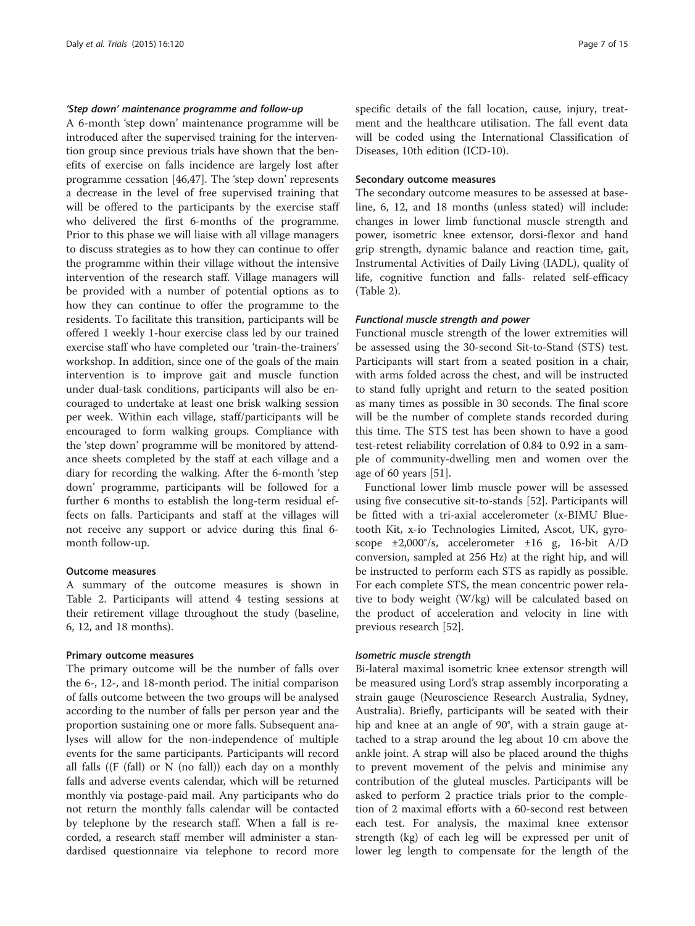#### 'Step down' maintenance programme and follow-up

A 6-month 'step down' maintenance programme will be introduced after the supervised training for the intervention group since previous trials have shown that the benefits of exercise on falls incidence are largely lost after programme cessation [[46](#page-13-0),[47](#page-13-0)]. The 'step down' represents a decrease in the level of free supervised training that will be offered to the participants by the exercise staff who delivered the first 6-months of the programme. Prior to this phase we will liaise with all village managers to discuss strategies as to how they can continue to offer the programme within their village without the intensive intervention of the research staff. Village managers will be provided with a number of potential options as to how they can continue to offer the programme to the residents. To facilitate this transition, participants will be offered 1 weekly 1-hour exercise class led by our trained exercise staff who have completed our 'train-the-trainers' workshop. In addition, since one of the goals of the main intervention is to improve gait and muscle function under dual-task conditions, participants will also be encouraged to undertake at least one brisk walking session per week. Within each village, staff/participants will be encouraged to form walking groups. Compliance with the 'step down' programme will be monitored by attendance sheets completed by the staff at each village and a diary for recording the walking. After the 6-month 'step down' programme, participants will be followed for a further 6 months to establish the long-term residual effects on falls. Participants and staff at the villages will not receive any support or advice during this final 6 month follow-up.

#### Outcome measures

A summary of the outcome measures is shown in Table [2](#page-7-0). Participants will attend 4 testing sessions at their retirement village throughout the study (baseline, 6, 12, and 18 months).

#### Primary outcome measures

The primary outcome will be the number of falls over the 6-, 12-, and 18-month period. The initial comparison of falls outcome between the two groups will be analysed according to the number of falls per person year and the proportion sustaining one or more falls. Subsequent analyses will allow for the non-independence of multiple events for the same participants. Participants will record all falls ( $(F$  (fall) or N (no fall)) each day on a monthly falls and adverse events calendar, which will be returned monthly via postage-paid mail. Any participants who do not return the monthly falls calendar will be contacted by telephone by the research staff. When a fall is recorded, a research staff member will administer a standardised questionnaire via telephone to record more specific details of the fall location, cause, injury, treatment and the healthcare utilisation. The fall event data will be coded using the International Classification of Diseases, 10th edition (ICD-10).

#### Secondary outcome measures

The secondary outcome measures to be assessed at baseline, 6, 12, and 18 months (unless stated) will include: changes in lower limb functional muscle strength and power, isometric knee extensor, dorsi-flexor and hand grip strength, dynamic balance and reaction time, gait, Instrumental Activities of Daily Living (IADL), quality of life, cognitive function and falls- related self-efficacy (Table [2\)](#page-7-0).

#### Functional muscle strength and power

Functional muscle strength of the lower extremities will be assessed using the 30-second Sit-to-Stand (STS) test. Participants will start from a seated position in a chair, with arms folded across the chest, and will be instructed to stand fully upright and return to the seated position as many times as possible in 30 seconds. The final score will be the number of complete stands recorded during this time. The STS test has been shown to have a good test-retest reliability correlation of 0.84 to 0.92 in a sample of community-dwelling men and women over the age of 60 years [[51](#page-14-0)].

Functional lower limb muscle power will be assessed using five consecutive sit-to-stands [\[52](#page-14-0)]. Participants will be fitted with a tri-axial accelerometer (x-BIMU Bluetooth Kit, x-io Technologies Limited, Ascot, UK, gyroscope ±2,000°/s, accelerometer ±16 g, 16-bit A/D conversion, sampled at 256 Hz) at the right hip, and will be instructed to perform each STS as rapidly as possible. For each complete STS, the mean concentric power relative to body weight (W/kg) will be calculated based on the product of acceleration and velocity in line with previous research [[52](#page-14-0)].

#### Isometric muscle strength

Bi-lateral maximal isometric knee extensor strength will be measured using Lord's strap assembly incorporating a strain gauge (Neuroscience Research Australia, Sydney, Australia). Briefly, participants will be seated with their hip and knee at an angle of 90°, with a strain gauge attached to a strap around the leg about 10 cm above the ankle joint. A strap will also be placed around the thighs to prevent movement of the pelvis and minimise any contribution of the gluteal muscles. Participants will be asked to perform 2 practice trials prior to the completion of 2 maximal efforts with a 60-second rest between each test. For analysis, the maximal knee extensor strength (kg) of each leg will be expressed per unit of lower leg length to compensate for the length of the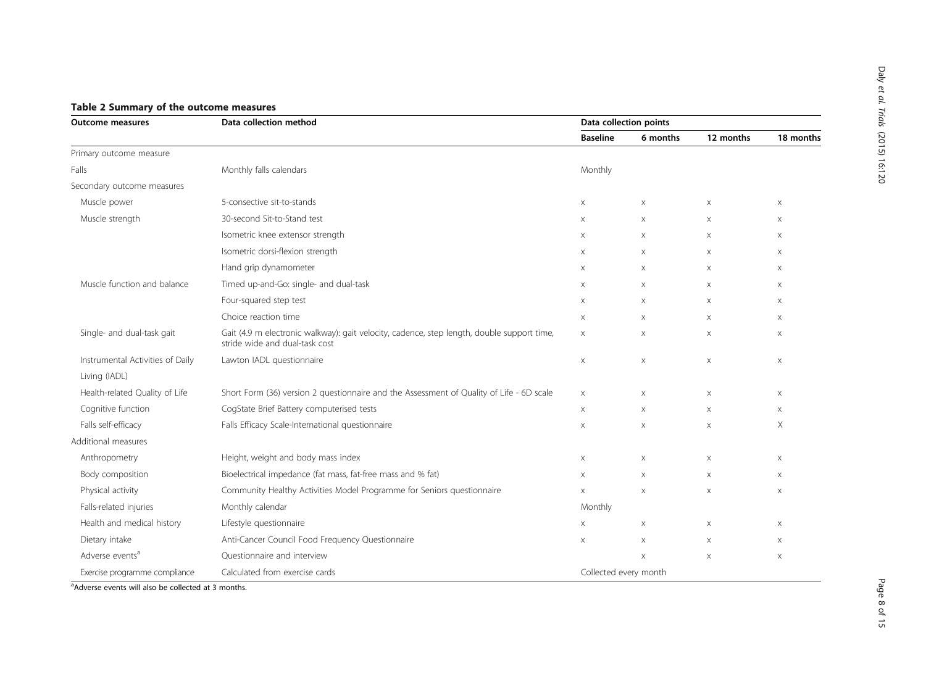| <b>Outcome measures</b>          | Data collection method                                                                                                       |                       | Data collection points |                           |             |  |
|----------------------------------|------------------------------------------------------------------------------------------------------------------------------|-----------------------|------------------------|---------------------------|-------------|--|
|                                  |                                                                                                                              | <b>Baseline</b>       | 6 months               | 12 months                 | 18 months   |  |
| Primary outcome measure          |                                                                                                                              |                       |                        |                           |             |  |
| Falls                            | Monthly falls calendars                                                                                                      | Monthly               |                        |                           |             |  |
| Secondary outcome measures       |                                                                                                                              |                       |                        |                           |             |  |
| Muscle power                     | 5-consective sit-to-stands                                                                                                   | X                     | X                      | Χ                         | $\times$    |  |
| Muscle strength                  | 30-second Sit-to-Stand test                                                                                                  | X                     | $\times$               | $\boldsymbol{\times}$     | $\mathsf X$ |  |
|                                  | Isometric knee extensor strength                                                                                             | X                     | X                      | X                         | $\times$    |  |
|                                  | Isometric dorsi-flexion strength                                                                                             | X                     | $\times$               | $\boldsymbol{\times}$     | $\times$    |  |
|                                  | Hand grip dynamometer                                                                                                        | X                     | X                      | $\boldsymbol{\times}$     | $\mathsf X$ |  |
| Muscle function and balance      | Timed up-and-Go: single- and dual-task                                                                                       | X                     | X                      | X                         | $\times$    |  |
|                                  | Four-squared step test                                                                                                       | X                     | X                      | $\times$                  | $\times$    |  |
|                                  | Choice reaction time                                                                                                         | X                     | Χ                      | $\times$                  | $\times$    |  |
| Single- and dual-task gait       | Gait (4.9 m electronic walkway): gait velocity, cadence, step length, double support time,<br>stride wide and dual-task cost | X                     | X                      | $\times$                  | $\times$    |  |
| Instrumental Activities of Daily | Lawton IADL questionnaire                                                                                                    | X                     | $\mathsf X$            | $\boldsymbol{\times}$     | $\times$    |  |
| Living (IADL)                    |                                                                                                                              |                       |                        |                           |             |  |
| Health-related Quality of Life   | Short Form (36) version 2 questionnaire and the Assessment of Quality of Life - 6D scale                                     | X                     | Χ                      | X                         | $\times$    |  |
| Cognitive function               | CogState Brief Battery computerised tests                                                                                    | X                     | X                      | $\boldsymbol{\times}$     | $\times$    |  |
| Falls self-efficacy              | Falls Efficacy Scale-International questionnaire                                                                             | X                     | $\mathsf X$            | $\boldsymbol{\times}$     | Χ           |  |
| Additional measures              |                                                                                                                              |                       |                        |                           |             |  |
| Anthropometry                    | Height, weight and body mass index                                                                                           | X                     | Χ                      | $\mathsf X$               | $\times$    |  |
| Body composition                 | Bioelectrical impedance (fat mass, fat-free mass and % fat)                                                                  | X                     | Χ                      | Χ                         | $\times$    |  |
| Physical activity                | Community Healthy Activities Model Programme for Seniors questionnaire                                                       | X                     | $\mathsf X$            | $\boldsymbol{\times}$     | $\times$    |  |
| Falls-related injuries           | Monthly calendar                                                                                                             | Monthly               |                        |                           |             |  |
| Health and medical history       | Lifestyle questionnaire                                                                                                      | $\times$              | $\times$               | $\boldsymbol{\mathsf{X}}$ | $\times$    |  |
| Dietary intake                   | Anti-Cancer Council Food Frequency Questionnaire                                                                             | X                     | $\mathsf X$            | Χ                         | $\times$    |  |
| Adverse events <sup>a</sup>      | Questionnaire and interview                                                                                                  |                       | $\times$               | $\boldsymbol{\times}$     | $\mathsf X$ |  |
| Exercise programme compliance    | Calculated from exercise cards                                                                                               | Collected every month |                        |                           |             |  |

# <span id="page-7-0"></span>Table 2 Summary of the outcome measures

<sup>a</sup>Adverse events will also be collected at 3 months.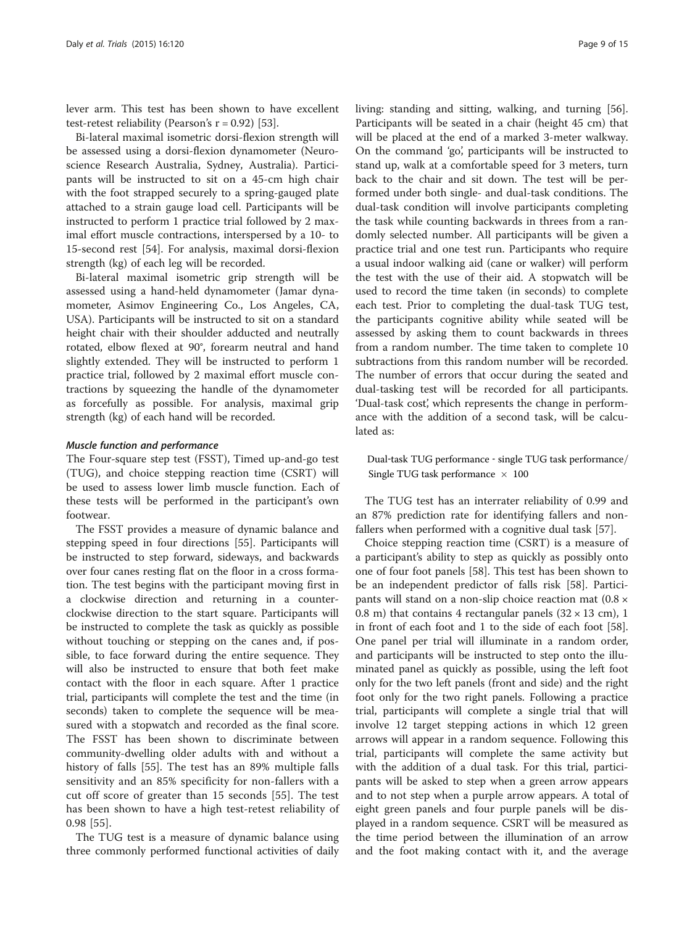lever arm. This test has been shown to have excellent test-retest reliability (Pearson's  $r = 0.92$ ) [[53\]](#page-14-0).

Bi-lateral maximal isometric dorsi-flexion strength will be assessed using a dorsi-flexion dynamometer (Neuroscience Research Australia, Sydney, Australia). Participants will be instructed to sit on a 45-cm high chair with the foot strapped securely to a spring-gauged plate attached to a strain gauge load cell. Participants will be instructed to perform 1 practice trial followed by 2 maximal effort muscle contractions, interspersed by a 10- to 15-second rest [[54\]](#page-14-0). For analysis, maximal dorsi-flexion strength (kg) of each leg will be recorded.

Bi-lateral maximal isometric grip strength will be assessed using a hand-held dynamometer (Jamar dynamometer, Asimov Engineering Co., Los Angeles, CA, USA). Participants will be instructed to sit on a standard height chair with their shoulder adducted and neutrally rotated, elbow flexed at 90°, forearm neutral and hand slightly extended. They will be instructed to perform 1 practice trial, followed by 2 maximal effort muscle contractions by squeezing the handle of the dynamometer as forcefully as possible. For analysis, maximal grip strength (kg) of each hand will be recorded.

#### Muscle function and performance

The Four-square step test (FSST), Timed up-and-go test (TUG), and choice stepping reaction time (CSRT) will be used to assess lower limb muscle function. Each of these tests will be performed in the participant's own footwear.

The FSST provides a measure of dynamic balance and stepping speed in four directions [[55\]](#page-14-0). Participants will be instructed to step forward, sideways, and backwards over four canes resting flat on the floor in a cross formation. The test begins with the participant moving first in a clockwise direction and returning in a counterclockwise direction to the start square. Participants will be instructed to complete the task as quickly as possible without touching or stepping on the canes and, if possible, to face forward during the entire sequence. They will also be instructed to ensure that both feet make contact with the floor in each square. After 1 practice trial, participants will complete the test and the time (in seconds) taken to complete the sequence will be measured with a stopwatch and recorded as the final score. The FSST has been shown to discriminate between community-dwelling older adults with and without a history of falls [[55\]](#page-14-0). The test has an 89% multiple falls sensitivity and an 85% specificity for non-fallers with a cut off score of greater than 15 seconds [[55\]](#page-14-0). The test has been shown to have a high test-retest reliability of 0.98 [\[55](#page-14-0)].

The TUG test is a measure of dynamic balance using three commonly performed functional activities of daily living: standing and sitting, walking, and turning [\[56](#page-14-0)]. Participants will be seated in a chair (height 45 cm) that will be placed at the end of a marked 3-meter walkway. On the command 'go', participants will be instructed to stand up, walk at a comfortable speed for 3 meters, turn back to the chair and sit down. The test will be performed under both single- and dual-task conditions. The dual-task condition will involve participants completing the task while counting backwards in threes from a randomly selected number. All participants will be given a practice trial and one test run. Participants who require a usual indoor walking aid (cane or walker) will perform the test with the use of their aid. A stopwatch will be used to record the time taken (in seconds) to complete each test. Prior to completing the dual-task TUG test, the participants cognitive ability while seated will be assessed by asking them to count backwards in threes from a random number. The time taken to complete 10 subtractions from this random number will be recorded. The number of errors that occur during the seated and dual-tasking test will be recorded for all participants. 'Dual-task cost', which represents the change in performance with the addition of a second task, will be calculated as:

Dual-task TUG performance - single TUG task performance/ Single TUG task performance  $\times$  100

The TUG test has an interrater reliability of 0.99 and an 87% prediction rate for identifying fallers and nonfallers when performed with a cognitive dual task [\[57](#page-14-0)].

Choice stepping reaction time (CSRT) is a measure of a participant's ability to step as quickly as possibly onto one of four foot panels [[58\]](#page-14-0). This test has been shown to be an independent predictor of falls risk [[58\]](#page-14-0). Participants will stand on a non-slip choice reaction mat (0.8 × 0.8 m) that contains 4 rectangular panels  $(32 \times 13 \text{ cm})$ , 1 in front of each foot and 1 to the side of each foot [\[58](#page-14-0)]. One panel per trial will illuminate in a random order, and participants will be instructed to step onto the illuminated panel as quickly as possible, using the left foot only for the two left panels (front and side) and the right foot only for the two right panels. Following a practice trial, participants will complete a single trial that will involve 12 target stepping actions in which 12 green arrows will appear in a random sequence. Following this trial, participants will complete the same activity but with the addition of a dual task. For this trial, participants will be asked to step when a green arrow appears and to not step when a purple arrow appears. A total of eight green panels and four purple panels will be displayed in a random sequence. CSRT will be measured as the time period between the illumination of an arrow and the foot making contact with it, and the average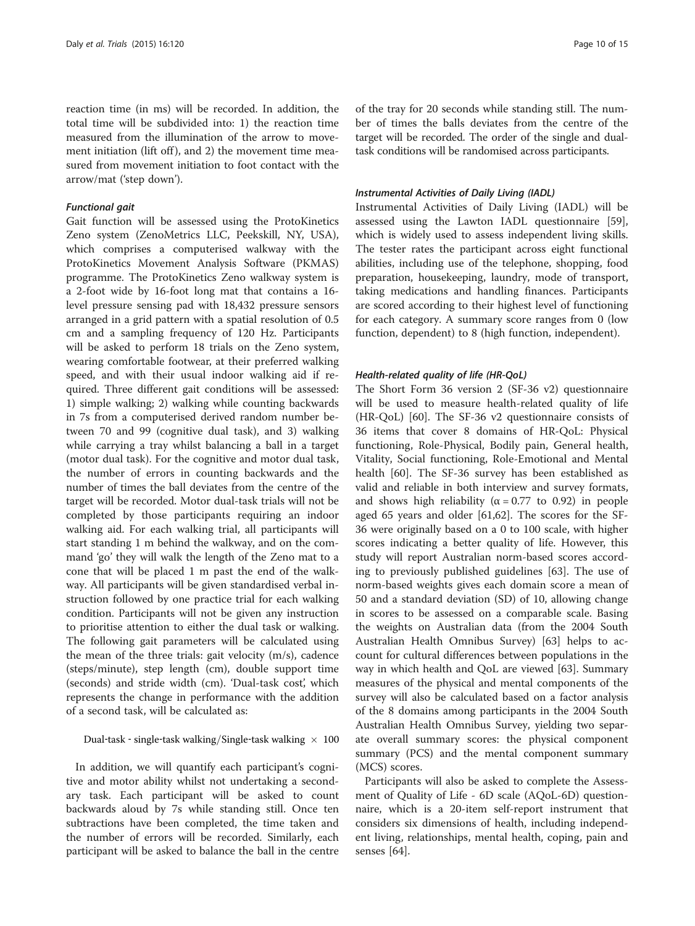reaction time (in ms) will be recorded. In addition, the total time will be subdivided into: 1) the reaction time measured from the illumination of the arrow to movement initiation (lift off), and 2) the movement time measured from movement initiation to foot contact with the arrow/mat ('step down').

#### Functional gait

Gait function will be assessed using the ProtoKinetics Zeno system (ZenoMetrics LLC, Peekskill, NY, USA), which comprises a computerised walkway with the ProtoKinetics Movement Analysis Software (PKMAS) programme. The ProtoKinetics Zeno walkway system is a 2-foot wide by 16-foot long mat that contains a 16 level pressure sensing pad with 18,432 pressure sensors arranged in a grid pattern with a spatial resolution of 0.5 cm and a sampling frequency of 120 Hz. Participants will be asked to perform 18 trials on the Zeno system, wearing comfortable footwear, at their preferred walking speed, and with their usual indoor walking aid if required. Three different gait conditions will be assessed: 1) simple walking; 2) walking while counting backwards in 7s from a computerised derived random number between 70 and 99 (cognitive dual task), and 3) walking while carrying a tray whilst balancing a ball in a target (motor dual task). For the cognitive and motor dual task, the number of errors in counting backwards and the number of times the ball deviates from the centre of the target will be recorded. Motor dual-task trials will not be completed by those participants requiring an indoor walking aid. For each walking trial, all participants will start standing 1 m behind the walkway, and on the command 'go' they will walk the length of the Zeno mat to a cone that will be placed 1 m past the end of the walkway. All participants will be given standardised verbal instruction followed by one practice trial for each walking condition. Participants will not be given any instruction to prioritise attention to either the dual task or walking. The following gait parameters will be calculated using the mean of the three trials: gait velocity (m/s), cadence (steps/minute), step length (cm), double support time (seconds) and stride width (cm). 'Dual-task cost', which represents the change in performance with the addition of a second task, will be calculated as:

Dual-task - single-task walking/Single-task walking  $\times$  100

In addition, we will quantify each participant's cognitive and motor ability whilst not undertaking a secondary task. Each participant will be asked to count backwards aloud by 7s while standing still. Once ten subtractions have been completed, the time taken and the number of errors will be recorded. Similarly, each participant will be asked to balance the ball in the centre of the tray for 20 seconds while standing still. The number of times the balls deviates from the centre of the target will be recorded. The order of the single and dualtask conditions will be randomised across participants.

#### Instrumental Activities of Daily Living (IADL)

Instrumental Activities of Daily Living (IADL) will be assessed using the Lawton IADL questionnaire [\[59](#page-14-0)], which is widely used to assess independent living skills. The tester rates the participant across eight functional abilities, including use of the telephone, shopping, food preparation, housekeeping, laundry, mode of transport, taking medications and handling finances. Participants are scored according to their highest level of functioning for each category. A summary score ranges from 0 (low function, dependent) to 8 (high function, independent).

#### Health-related quality of life (HR-QoL)

The Short Form 36 version 2 (SF-36 v2) questionnaire will be used to measure health-related quality of life (HR-QoL) [[60\]](#page-14-0). The SF-36 v2 questionnaire consists of 36 items that cover 8 domains of HR-QoL: Physical functioning, Role-Physical, Bodily pain, General health, Vitality, Social functioning, Role-Emotional and Mental health [[60\]](#page-14-0). The SF-36 survey has been established as valid and reliable in both interview and survey formats, and shows high reliability ( $\alpha = 0.77$  to 0.92) in people aged 65 years and older [\[61,62](#page-14-0)]. The scores for the SF-36 were originally based on a 0 to 100 scale, with higher scores indicating a better quality of life. However, this study will report Australian norm-based scores according to previously published guidelines [[63\]](#page-14-0). The use of norm-based weights gives each domain score a mean of 50 and a standard deviation (SD) of 10, allowing change in scores to be assessed on a comparable scale. Basing the weights on Australian data (from the 2004 South Australian Health Omnibus Survey) [[63\]](#page-14-0) helps to account for cultural differences between populations in the way in which health and QoL are viewed [\[63\]](#page-14-0). Summary measures of the physical and mental components of the survey will also be calculated based on a factor analysis of the 8 domains among participants in the 2004 South Australian Health Omnibus Survey, yielding two separate overall summary scores: the physical component summary (PCS) and the mental component summary (MCS) scores.

Participants will also be asked to complete the Assessment of Quality of Life - 6D scale (AQoL-6D) questionnaire, which is a 20-item self-report instrument that considers six dimensions of health, including independent living, relationships, mental health, coping, pain and senses [\[64](#page-14-0)].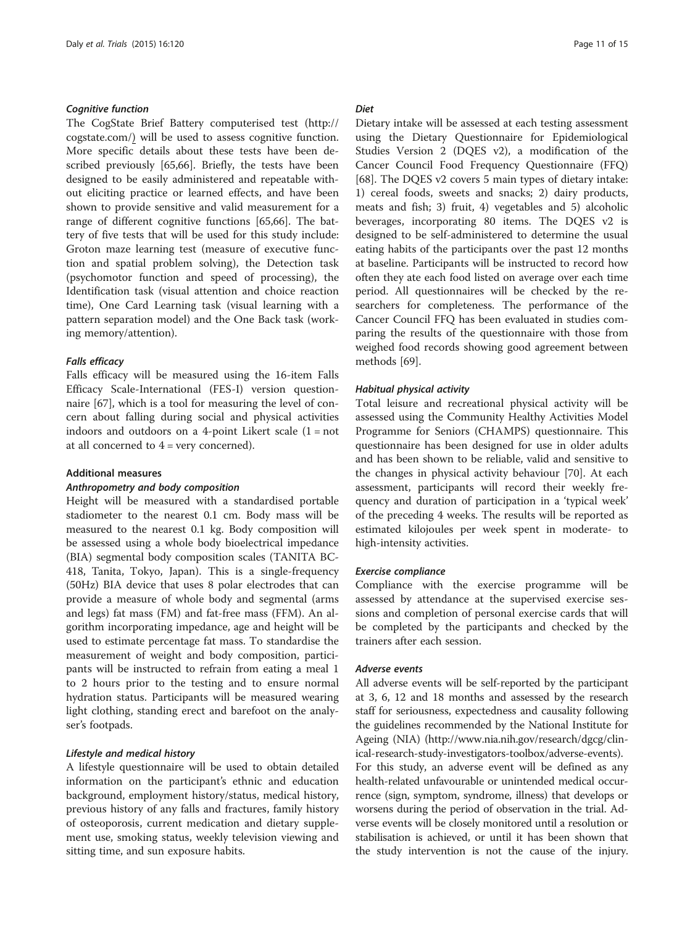#### Cognitive function

The CogState Brief Battery computerised test [\(http://](http://cogstate.com/) [cogstate.com/](http://cogstate.com/)) will be used to assess cognitive function. More specific details about these tests have been described previously [[65,66](#page-14-0)]. Briefly, the tests have been designed to be easily administered and repeatable without eliciting practice or learned effects, and have been shown to provide sensitive and valid measurement for a range of different cognitive functions [\[65,66](#page-14-0)]. The battery of five tests that will be used for this study include: Groton maze learning test (measure of executive function and spatial problem solving), the Detection task (psychomotor function and speed of processing), the Identification task (visual attention and choice reaction time), One Card Learning task (visual learning with a pattern separation model) and the One Back task (working memory/attention).

#### Falls efficacy

Falls efficacy will be measured using the 16-item Falls Efficacy Scale-International (FES-I) version questionnaire [\[67](#page-14-0)], which is a tool for measuring the level of concern about falling during social and physical activities indoors and outdoors on a 4-point Likert scale  $(1 = not$ at all concerned to  $4 = \text{very concerned}$ .

### Additional measures

#### Anthropometry and body composition

Height will be measured with a standardised portable stadiometer to the nearest 0.1 cm. Body mass will be measured to the nearest 0.1 kg. Body composition will be assessed using a whole body bioelectrical impedance (BIA) segmental body composition scales (TANITA BC-418, Tanita, Tokyo, Japan). This is a single-frequency (50Hz) BIA device that uses 8 polar electrodes that can provide a measure of whole body and segmental (arms and legs) fat mass (FM) and fat-free mass (FFM). An algorithm incorporating impedance, age and height will be used to estimate percentage fat mass. To standardise the measurement of weight and body composition, participants will be instructed to refrain from eating a meal 1 to 2 hours prior to the testing and to ensure normal hydration status. Participants will be measured wearing light clothing, standing erect and barefoot on the analyser's footpads.

# Lifestyle and medical history

A lifestyle questionnaire will be used to obtain detailed information on the participant's ethnic and education background, employment history/status, medical history, previous history of any falls and fractures, family history of osteoporosis, current medication and dietary supplement use, smoking status, weekly television viewing and sitting time, and sun exposure habits.

#### **Diet**

Dietary intake will be assessed at each testing assessment using the Dietary Questionnaire for Epidemiological Studies Version 2 (DQES v2), a modification of the Cancer Council Food Frequency Questionnaire (FFQ) [[68\]](#page-14-0). The DQES v2 covers 5 main types of dietary intake: 1) cereal foods, sweets and snacks; 2) dairy products, meats and fish; 3) fruit, 4) vegetables and 5) alcoholic beverages, incorporating 80 items. The DQES v2 is designed to be self-administered to determine the usual eating habits of the participants over the past 12 months at baseline. Participants will be instructed to record how often they ate each food listed on average over each time period. All questionnaires will be checked by the researchers for completeness. The performance of the Cancer Council FFQ has been evaluated in studies comparing the results of the questionnaire with those from weighed food records showing good agreement between methods [[69\]](#page-14-0).

#### Habitual physical activity

Total leisure and recreational physical activity will be assessed using the Community Healthy Activities Model Programme for Seniors (CHAMPS) questionnaire. This questionnaire has been designed for use in older adults and has been shown to be reliable, valid and sensitive to the changes in physical activity behaviour [[70\]](#page-14-0). At each assessment, participants will record their weekly frequency and duration of participation in a 'typical week' of the preceding 4 weeks. The results will be reported as estimated kilojoules per week spent in moderate- to high-intensity activities.

#### Exercise compliance

Compliance with the exercise programme will be assessed by attendance at the supervised exercise sessions and completion of personal exercise cards that will be completed by the participants and checked by the trainers after each session.

#### Adverse events

All adverse events will be self-reported by the participant at 3, 6, 12 and 18 months and assessed by the research staff for seriousness, expectedness and causality following the guidelines recommended by the National Institute for Ageing (NIA) [\(http://www.nia.nih.gov/research/dgcg/clin](http://www.nia.nih.gov/research/dgcg/clinical-research-study-investigators-toolbox/adverse-events)[ical-research-study-investigators-toolbox/adverse-events](http://www.nia.nih.gov/research/dgcg/clinical-research-study-investigators-toolbox/adverse-events)).

For this study, an adverse event will be defined as any health-related unfavourable or unintended medical occurrence (sign, symptom, syndrome, illness) that develops or worsens during the period of observation in the trial. Adverse events will be closely monitored until a resolution or stabilisation is achieved, or until it has been shown that the study intervention is not the cause of the injury.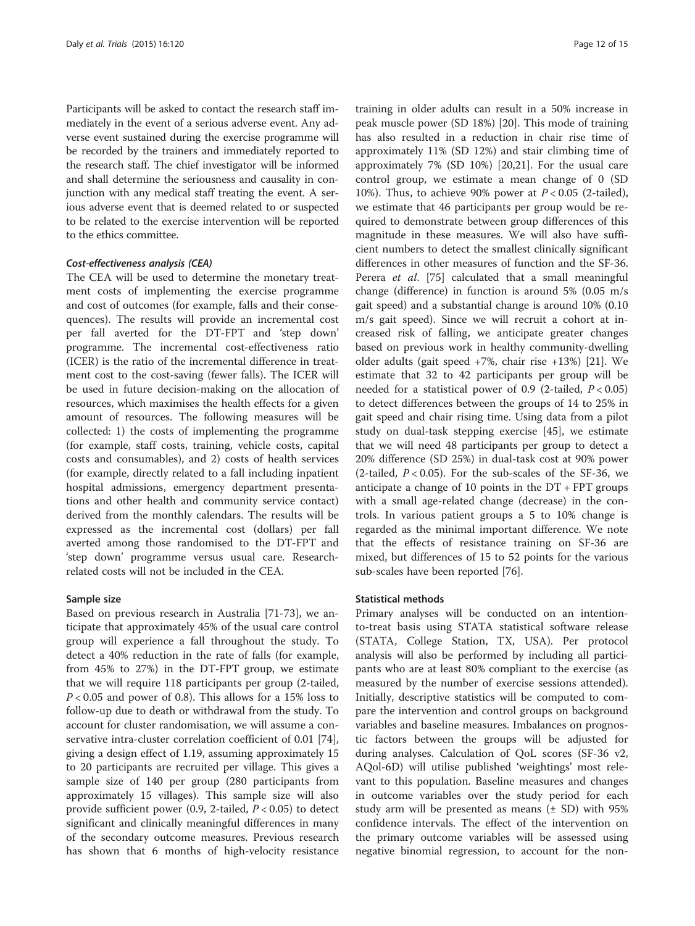Participants will be asked to contact the research staff immediately in the event of a serious adverse event. Any adverse event sustained during the exercise programme will be recorded by the trainers and immediately reported to the research staff. The chief investigator will be informed and shall determine the seriousness and causality in conjunction with any medical staff treating the event. A serious adverse event that is deemed related to or suspected to be related to the exercise intervention will be reported to the ethics committee.

#### Cost-effectiveness analysis (CEA)

The CEA will be used to determine the monetary treatment costs of implementing the exercise programme and cost of outcomes (for example, falls and their consequences). The results will provide an incremental cost per fall averted for the DT-FPT and 'step down' programme. The incremental cost-effectiveness ratio (ICER) is the ratio of the incremental difference in treatment cost to the cost-saving (fewer falls). The ICER will be used in future decision-making on the allocation of resources, which maximises the health effects for a given amount of resources. The following measures will be collected: 1) the costs of implementing the programme (for example, staff costs, training, vehicle costs, capital costs and consumables), and 2) costs of health services (for example, directly related to a fall including inpatient hospital admissions, emergency department presentations and other health and community service contact) derived from the monthly calendars. The results will be expressed as the incremental cost (dollars) per fall averted among those randomised to the DT-FPT and 'step down' programme versus usual care. Researchrelated costs will not be included in the CEA.

#### Sample size

Based on previous research in Australia [[71-73](#page-14-0)], we anticipate that approximately 45% of the usual care control group will experience a fall throughout the study. To detect a 40% reduction in the rate of falls (for example, from 45% to 27%) in the DT-FPT group, we estimate that we will require 118 participants per group (2-tailed,  $P < 0.05$  and power of 0.8). This allows for a 15% loss to follow-up due to death or withdrawal from the study. To account for cluster randomisation, we will assume a conservative intra-cluster correlation coefficient of 0.01 [\[74](#page-14-0)], giving a design effect of 1.19, assuming approximately 15 to 20 participants are recruited per village. This gives a sample size of 140 per group (280 participants from approximately 15 villages). This sample size will also provide sufficient power (0.9, 2-tailed,  $P < 0.05$ ) to detect significant and clinically meaningful differences in many of the secondary outcome measures. Previous research has shown that 6 months of high-velocity resistance

training in older adults can result in a 50% increase in peak muscle power (SD 18%) [[20\]](#page-13-0). This mode of training has also resulted in a reduction in chair rise time of approximately 11% (SD 12%) and stair climbing time of approximately 7% (SD 10%) [[20](#page-13-0),[21](#page-13-0)]. For the usual care control group, we estimate a mean change of 0 (SD 10%). Thus, to achieve 90% power at  $P < 0.05$  (2-tailed), we estimate that 46 participants per group would be required to demonstrate between group differences of this magnitude in these measures. We will also have sufficient numbers to detect the smallest clinically significant differences in other measures of function and the SF-36. Perera *et al.* [[75](#page-14-0)] calculated that a small meaningful change (difference) in function is around 5% (0.05 m/s gait speed) and a substantial change is around 10% (0.10 m/s gait speed). Since we will recruit a cohort at increased risk of falling, we anticipate greater changes based on previous work in healthy community-dwelling older adults (gait speed +7%, chair rise +13%) [\[21](#page-13-0)]. We estimate that 32 to 42 participants per group will be needed for a statistical power of 0.9 (2-tailed,  $P < 0.05$ ) to detect differences between the groups of 14 to 25% in gait speed and chair rising time. Using data from a pilot study on dual-task stepping exercise [[45](#page-13-0)], we estimate that we will need 48 participants per group to detect a 20% difference (SD 25%) in dual-task cost at 90% power (2-tailed,  $P < 0.05$ ). For the sub-scales of the SF-36, we anticipate a change of 10 points in the  $DT + FPT$  groups with a small age-related change (decrease) in the controls. In various patient groups a 5 to 10% change is regarded as the minimal important difference. We note that the effects of resistance training on SF-36 are mixed, but differences of 15 to 52 points for the various sub-scales have been reported [\[76](#page-14-0)].

#### Statistical methods

Primary analyses will be conducted on an intentionto-treat basis using STATA statistical software release (STATA, College Station, TX, USA). Per protocol analysis will also be performed by including all participants who are at least 80% compliant to the exercise (as measured by the number of exercise sessions attended). Initially, descriptive statistics will be computed to compare the intervention and control groups on background variables and baseline measures. Imbalances on prognostic factors between the groups will be adjusted for during analyses. Calculation of QoL scores (SF-36 v2, AQol-6D) will utilise published 'weightings' most relevant to this population. Baseline measures and changes in outcome variables over the study period for each study arm will be presented as means  $(\pm SD)$  with 95% confidence intervals. The effect of the intervention on the primary outcome variables will be assessed using negative binomial regression, to account for the non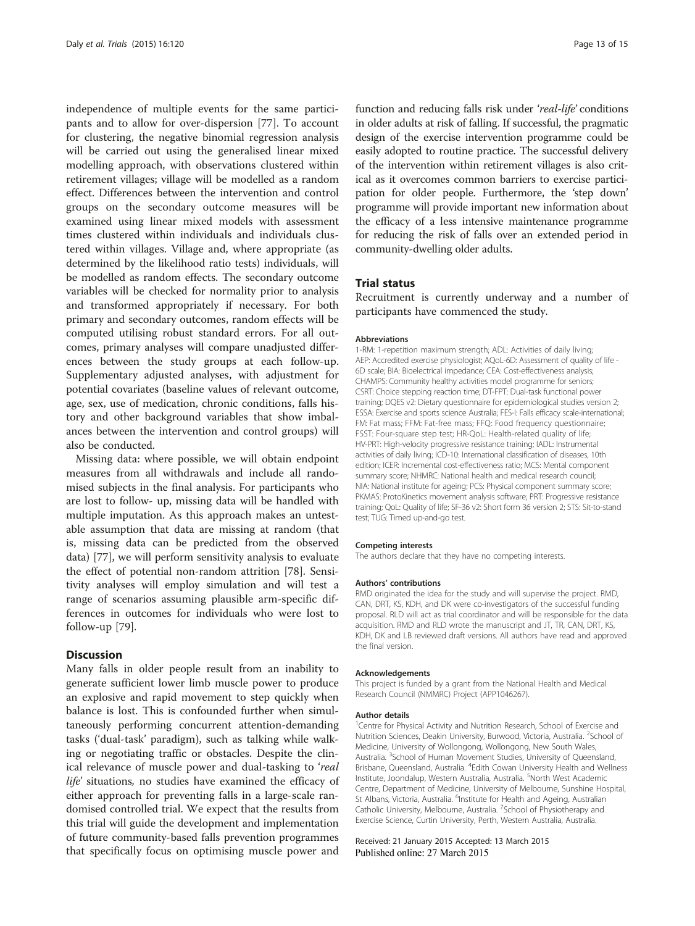independence of multiple events for the same participants and to allow for over-dispersion [[77\]](#page-14-0). To account for clustering, the negative binomial regression analysis will be carried out using the generalised linear mixed modelling approach, with observations clustered within retirement villages; village will be modelled as a random effect. Differences between the intervention and control groups on the secondary outcome measures will be examined using linear mixed models with assessment times clustered within individuals and individuals clustered within villages. Village and, where appropriate (as determined by the likelihood ratio tests) individuals, will be modelled as random effects. The secondary outcome variables will be checked for normality prior to analysis and transformed appropriately if necessary. For both primary and secondary outcomes, random effects will be computed utilising robust standard errors. For all outcomes, primary analyses will compare unadjusted differences between the study groups at each follow-up. Supplementary adjusted analyses, with adjustment for potential covariates (baseline values of relevant outcome, age, sex, use of medication, chronic conditions, falls history and other background variables that show imbalances between the intervention and control groups) will also be conducted.

Missing data: where possible, we will obtain endpoint measures from all withdrawals and include all randomised subjects in the final analysis. For participants who are lost to follow- up, missing data will be handled with multiple imputation. As this approach makes an untestable assumption that data are missing at random (that is, missing data can be predicted from the observed data) [\[77\]](#page-14-0), we will perform sensitivity analysis to evaluate the effect of potential non-random attrition [[78\]](#page-14-0). Sensitivity analyses will employ simulation and will test a range of scenarios assuming plausible arm-specific differences in outcomes for individuals who were lost to follow-up [[79\]](#page-14-0).

## **Discussion**

Many falls in older people result from an inability to generate sufficient lower limb muscle power to produce an explosive and rapid movement to step quickly when balance is lost. This is confounded further when simultaneously performing concurrent attention-demanding tasks ('dual-task' paradigm), such as talking while walking or negotiating traffic or obstacles. Despite the clinical relevance of muscle power and dual-tasking to 'real life' situations, no studies have examined the efficacy of either approach for preventing falls in a large-scale randomised controlled trial. We expect that the results from this trial will guide the development and implementation of future community-based falls prevention programmes that specifically focus on optimising muscle power and

function and reducing falls risk under 'real-life' conditions in older adults at risk of falling. If successful, the pragmatic design of the exercise intervention programme could be easily adopted to routine practice. The successful delivery of the intervention within retirement villages is also critical as it overcomes common barriers to exercise participation for older people. Furthermore, the 'step down' programme will provide important new information about the efficacy of a less intensive maintenance programme for reducing the risk of falls over an extended period in community-dwelling older adults.

# Trial status

Recruitment is currently underway and a number of participants have commenced the study.

#### Abbreviations

1-RM: 1-repetition maximum strength; ADL: Activities of daily living; AEP: Accredited exercise physiologist; AQoL-6D: Assessment of quality of life - 6D scale; BIA: Bioelectrical impedance; CEA: Cost-effectiveness analysis; CHAMPS: Community healthy activities model programme for seniors; CSRT: Choice stepping reaction time; DT-FPT: Dual-task functional power training; DQES v2: Dietary questionnaire for epidemiological studies version 2; ESSA: Exercise and sports science Australia; FES-I: Falls efficacy scale-international; FM: Fat mass; FFM: Fat-free mass; FFQ: Food frequency questionnaire; FSST: Four-square step test; HR-QoL: Health-related quality of life; HV-PRT: High-velocity progressive resistance training; IADL: Instrumental activities of daily living; ICD-10: International classification of diseases, 10th edition; ICER: Incremental cost-effectiveness ratio; MCS: Mental component summary score; NHMRC: National health and medical research council; NIA: National institute for ageing; PCS: Physical component summary score; PKMAS: ProtoKinetics movement analysis software; PRT: Progressive resistance training; QoL: Quality of life; SF-36 v2: Short form 36 version 2; STS: Sit-to-stand test; TUG: Timed up-and-go test.

#### Competing interests

The authors declare that they have no competing interests.

#### Authors' contributions

RMD originated the idea for the study and will supervise the project. RMD, CAN, DRT, KS, KDH, and DK were co-investigators of the successful funding proposal. RLD will act as trial coordinator and will be responsible for the data acquisition. RMD and RLD wrote the manuscript and JT, TR, CAN, DRT, KS, KDH, DK and LB reviewed draft versions. All authors have read and approved the final version.

#### Acknowledgements

This project is funded by a grant from the National Health and Medical Research Council (NMMRC) Project (APP1046267).

#### Author details

<sup>1</sup> Centre for Physical Activity and Nutrition Research, School of Exercise and Nutrition Sciences, Deakin University, Burwood, Victoria, Australia. <sup>2</sup>School of Medicine, University of Wollongong, Wollongong, New South Wales, Australia. <sup>3</sup> School of Human Movement Studies, University of Queensland Brisbane, Queensland, Australia. <sup>4</sup>Edith Cowan University Health and Wellness Institute, Joondalup, Western Australia, Australia. <sup>5</sup>North West Academic Centre, Department of Medicine, University of Melbourne, Sunshine Hospital, St Albans, Victoria, Australia. <sup>6</sup>Institute for Health and Ageing, Australian Catholic University, Melbourne, Australia. <sup>7</sup>School of Physiotherapy and Exercise Science, Curtin University, Perth, Western Australia, Australia.

#### Received: 21 January 2015 Accepted: 13 March 2015 Published online: 27 March 2015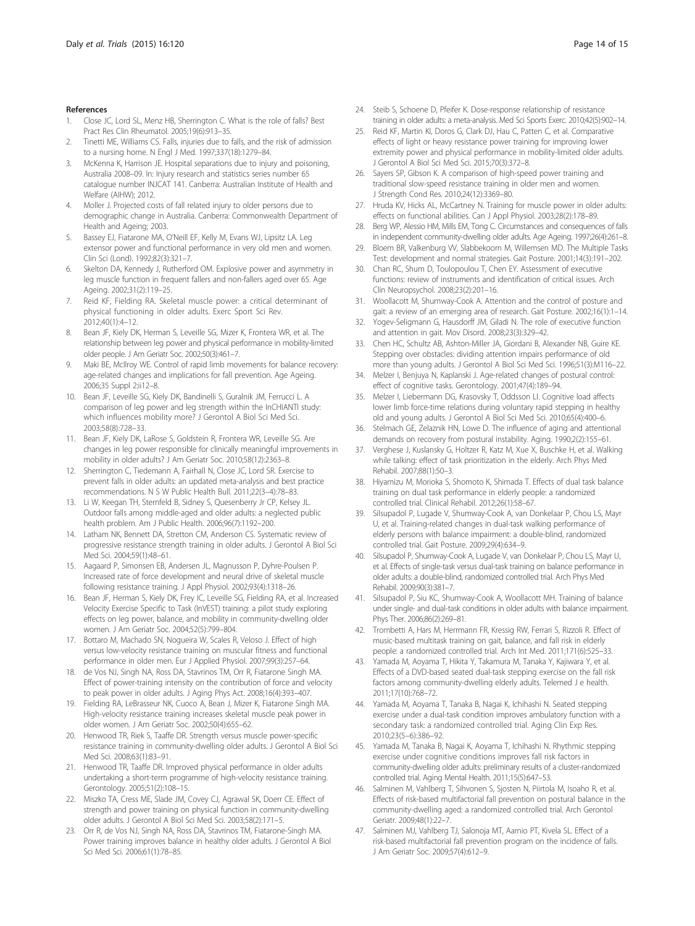- <span id="page-13-0"></span>1. Close JC, Lord SL, Menz HB, Sherrington C. What is the role of falls? Best Pract Res Clin Rheumatol. 2005;19(6):913–35.
- Tinetti ME, Williams CS. Falls, injuries due to falls, and the risk of admission to a nursing home. N Engl J Med. 1997;337(18):1279–84.
- 3. McKenna K, Harrison JE. Hospital separations due to injury and poisoning, Australia 2008–09. In: Injury research and statistics series number 65 catalogue number INJCAT 141. Canberra: Australian Institute of Health and Welfare (AIHW); 2012.
- 4. Moller J. Projected costs of fall related injury to older persons due to demographic change in Australia. Canberra: Commonwealth Department of Health and Ageing; 2003.
- Bassey EJ, Fiatarone MA, O'Neill EF, Kelly M, Evans WJ, Lipsitz LA. Leg extensor power and functional performance in very old men and women. Clin Sci (Lond). 1992;82(3):321–7.
- 6. Skelton DA, Kennedy J, Rutherford OM. Explosive power and asymmetry in leg muscle function in frequent fallers and non-fallers aged over 65. Age Ageing. 2002;31(2):119–25.
- 7. Reid KF, Fielding RA. Skeletal muscle power: a critical determinant of physical functioning in older adults. Exerc Sport Sci Rev. 2012;40(1):4–12.
- Bean JF, Kiely DK, Herman S, Leveille SG, Mizer K, Frontera WR, et al. The relationship between leg power and physical performance in mobility-limited older people. J Am Geriatr Soc. 2002;50(3):461–7.
- Maki BE, McIlroy WE. Control of rapid limb movements for balance recovery: age-related changes and implications for fall prevention. Age Ageing. 2006;35 Suppl 2:ii12–8.
- 10. Bean JF, Leveille SG, Kiely DK, Bandinelli S, Guralnik JM, Ferrucci L. A comparison of leg power and leg strength within the InCHIANTI study: which influences mobility more? J Gerontol A Biol Sci Med Sci. 2003;58(8):728–33.
- 11. Bean JF, Kiely DK, LaRose S, Goldstein R, Frontera WR, Leveille SG. Are changes in leg power responsible for clinically meaningful improvements in mobility in older adults? J Am Geriatr Soc. 2010;58(12):2363–8.
- 12. Sherrington C, Tiedemann A, Fairhall N, Close JC, Lord SR. Exercise to prevent falls in older adults: an updated meta-analysis and best practice recommendations. N S W Public Health Bull. 2011;22(3–4):78–83.
- 13. Li W, Keegan TH, Sternfeld B, Sidney S, Quesenberry Jr CP, Kelsey JL. Outdoor falls among middle-aged and older adults: a neglected public health problem. Am J Public Health. 2006;96(7):1192–200.
- 14. Latham NK, Bennett DA, Stretton CM, Anderson CS. Systematic review of progressive resistance strength training in older adults. J Gerontol A Biol Sci Med Sci. 2004;59(1):48–61.
- 15. Aagaard P, Simonsen EB, Andersen JL, Magnusson P, Dyhre-Poulsen P. Increased rate of force development and neural drive of skeletal muscle following resistance training. J Appl Physiol. 2002;93(4):1318–26.
- 16. Bean JF, Herman S, Kiely DK, Frey IC, Leveille SG, Fielding RA, et al. Increased Velocity Exercise Specific to Task (InVEST) training: a pilot study exploring effects on leg power, balance, and mobility in community-dwelling older women. J Am Geriatr Soc. 2004;52(5):799–804.
- 17. Bottaro M, Machado SN, Nogueira W, Scales R, Veloso J. Effect of high versus low-velocity resistance training on muscular fitness and functional performance in older men. Eur J Applied Physiol. 2007;99(3):257–64.
- 18. de Vos NJ, Singh NA, Ross DA, Stavrinos TM, Orr R, Fiatarone Singh MA. Effect of power-training intensity on the contribution of force and velocity to peak power in older adults. J Aging Phys Act. 2008;16(4):393–407.
- 19. Fielding RA, LeBrasseur NK, Cuoco A, Bean J, Mizer K, Fiatarone Singh MA. High-velocity resistance training increases skeletal muscle peak power in older women. J Am Geriatr Soc. 2002;50(4):655–62.
- 20. Henwood TR, Riek S, Taaffe DR. Strength versus muscle power-specific resistance training in community-dwelling older adults. J Gerontol A Biol Sci Med Sci. 2008;63(1):83–91.
- 21. Henwood TR, Taaffe DR. Improved physical performance in older adults undertaking a short-term programme of high-velocity resistance training. Gerontology. 2005;51(2):108–15.
- 22. Miszko TA, Cress ME, Slade JM, Covey CJ, Agrawal SK, Doerr CE. Effect of strength and power training on physical function in community-dwelling older adults. J Gerontol A Biol Sci Med Sci. 2003;58(2):171–5.
- 23. Orr R, de Vos NJ, Singh NA, Ross DA, Stavrinos TM, Fiatarone-Singh MA. Power training improves balance in healthy older adults. J Gerontol A Biol Sci Med Sci. 2006;61(1):78–85.
- 24. Steib S, Schoene D, Pfeifer K. Dose-response relationship of resistance training in older adults: a meta-analysis. Med Sci Sports Exerc. 2010;42(5):902–14.
- 25. Reid KF, Martin KI, Doros G, Clark DJ, Hau C, Patten C, et al. Comparative effects of light or heavy resistance power training for improving lower extremity power and physical performance in mobility-limited older adults. J Gerontol A Biol Sci Med Sci. 2015;70(3):372–8.
- 26. Sayers SP, Gibson K. A comparison of high-speed power training and traditional slow-speed resistance training in older men and women. J Strength Cond Res. 2010;24(12):3369–80.
- 27. Hruda KV, Hicks AL, McCartney N. Training for muscle power in older adults: effects on functional abilities. Can J Appl Physiol. 2003;28(2):178–89.
- 28. Berg WP, Alessio HM, Mills EM, Tong C. Circumstances and consequences of falls in independent community-dwelling older adults. Age Ageing. 1997;26(4):261–8.
- 29. Bloem BR, Valkenburg VV, Slabbekoorn M, Willemsen MD. The Multiple Tasks Test: development and normal strategies. Gait Posture. 2001;14(3):191–202.
- 30. Chan RC, Shum D, Toulopoulou T, Chen EY. Assessment of executive functions: review of instruments and identification of critical issues. Arch Clin Neuropsychol. 2008;23(2):201–16.
- 31. Woollacott M, Shumway-Cook A. Attention and the control of posture and gait: a review of an emerging area of research. Gait Posture. 2002;16(1):1–14.
- 32. Yogev-Seligmann G, Hausdorff JM, Giladi N. The role of executive function and attention in gait. Mov Disord. 2008;23(3):329–42.
- 33. Chen HC, Schultz AB, Ashton-Miller JA, Giordani B, Alexander NB, Guire KE. Stepping over obstacles: dividing attention impairs performance of old more than young adults. J Gerontol A Biol Sci Med Sci. 1996;51(3):M116–22.
- 34. Melzer I, Benjuya N, Kaplanski J. Age-related changes of postural control: effect of cognitive tasks. Gerontology. 2001;47(4):189–94.
- 35. Melzer I, Liebermann DG, Krasovsky T, Oddsson LI. Cognitive load affects lower limb force-time relations during voluntary rapid stepping in healthy old and young adults. J Gerontol A Biol Sci Med Sci. 2010;65(4):400–6.
- 36. Stelmach GE, Zelaznik HN, Lowe D. The influence of aging and attentional demands on recovery from postural instability. Aging. 1990;2(2):155–61.
- 37. Verghese J, Kuslansky G, Holtzer R, Katz M, Xue X, Buschke H, et al. Walking while talking: effect of task prioritization in the elderly. Arch Phys Med Rehabil. 2007;88(1):50–3.
- Hiyamizu M, Morioka S, Shomoto K, Shimada T. Effects of dual task balance training on dual task performance in elderly people: a randomized controlled trial. Clinical Rehabil. 2012;26(1):58–67.
- 39. Silsupadol P, Lugade V, Shumway-Cook A, van Donkelaar P, Chou LS, Mayr U, et al. Training-related changes in dual-task walking performance of elderly persons with balance impairment: a double-blind, randomized controlled trial. Gait Posture. 2009;29(4):634–9.
- 40. Silsupadol P, Shumway-Cook A, Lugade V, van Donkelaar P, Chou LS, Mayr U, et al. Effects of single-task versus dual-task training on balance performance in older adults: a double-blind, randomized controlled trial. Arch Phys Med Rehabil. 2009;90(3):381–7.
- 41. Silsupadol P, Siu KC, Shumway-Cook A, Woollacott MH. Training of balance under single- and dual-task conditions in older adults with balance impairment. Phys Ther. 2006;86(2):269–81.
- 42. Trombetti A, Hars M, Herrmann FR, Kressig RW, Ferrari S, Rizzoli R. Effect of music-based multitask training on gait, balance, and fall risk in elderly people: a randomized controlled trial. Arch Int Med. 2011;171(6):525–33.
- 43. Yamada M, Aoyama T, Hikita Y, Takamura M, Tanaka Y, Kajiwara Y, et al. Effects of a DVD-based seated dual-task stepping exercise on the fall risk factors among community-dwelling elderly adults. Telemed J e health. 2011;17(10):768–72.
- 44. Yamada M, Aoyama T, Tanaka B, Nagai K, Ichihashi N. Seated stepping exercise under a dual-task condition improves ambulatory function with a secondary task: a randomized controlled trial. Aging Clin Exp Res. 2010;23(5–6):386–92.
- 45. Yamada M, Tanaka B, Nagai K, Aoyama T, Ichihashi N. Rhythmic stepping exercise under cognitive conditions improves fall risk factors in community-dwelling older adults: preliminary results of a cluster-randomized controlled trial. Aging Mental Health. 2011;15(5):647–53.
- 46. Salminen M, Vahlberg T, Sihvonen S, Sjosten N, Piirtola M, Isoaho R, et al. Effects of risk-based multifactorial fall prevention on postural balance in the community-dwelling aged: a randomized controlled trial. Arch Gerontol Geriatr. 2009;48(1):22–7.
- 47. Salminen MJ, Vahlberg TJ, Salonoja MT, Aarnio PT, Kivela SL. Effect of a risk-based multifactorial fall prevention program on the incidence of falls. J Am Geriatr Soc. 2009;57(4):612–9.